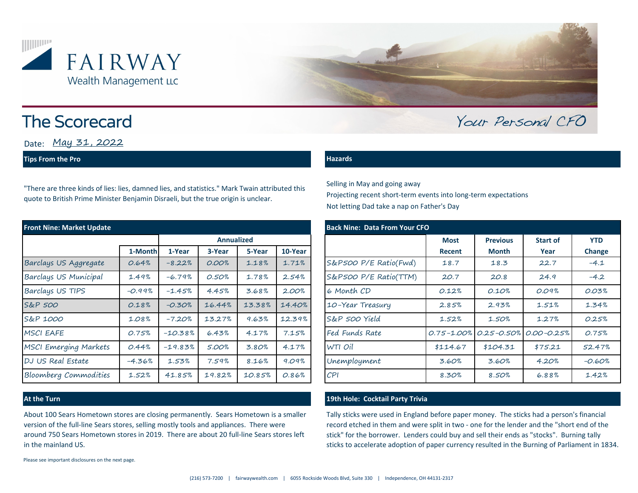



# **The Scorecard**

Date: May 31, 2022

# **Tips From the Pro**

"There are three kinds of lies: lies, damned lies, and statistics." Mark Twain attributed this quote to British Prime Minister Benjamin Disraeli, but the true origin is unclear.

| <b>Front Nine: Market Update</b> |          |                   |        |        |         | <b>Back Nine: Data From Your CFO</b> |             |                 |                                                 |            |  |
|----------------------------------|----------|-------------------|--------|--------|---------|--------------------------------------|-------------|-----------------|-------------------------------------------------|------------|--|
|                                  |          | <b>Annualized</b> |        |        |         |                                      | <b>Most</b> | <b>Previous</b> | <b>Start of</b>                                 | <b>YTD</b> |  |
|                                  | 1-Month  | 1-Year            | 3-Year | 5-Year | 10-Year |                                      | Recent      | <b>Month</b>    | Year                                            | Change     |  |
| Barclays US Aggregate            | 0.64%    | $-8.22%$          | 0.00%  | 1.18%  | 1.71%   | S&P500 P/E Ratio(Fwd)                | 18.7        | 18.3            | 22.7                                            | $-4.1$     |  |
| Barclays US Municipal            | 1.49%    | $-6.79%$          | 0.50%  | 1.78%  | 2.54%   | S&P500 P/E Ratio(TTM)                | 20.7        | 20.8            | 24.9                                            | $-4.2$     |  |
| Barclays US TIPS                 | $-0.99%$ | $-1.45%$          | 4.45%  | 3.68%  | 2.00%   | 6 Month CD                           | 0.12%       | 0.10%           | 0.09%                                           | 0.03%      |  |
| S&P 500                          | 0.18%    | $-0.30%$          | 16.44% | 13.38% | 14.40%  | 10-Year Treasury                     | 2.85%       | 2.93%           | 1.51%                                           | 1.34%      |  |
| S&P 1000                         | 1.08%    | $-7.20%$          | 13.27% | 9.63%  | 12.39%  | S&P 500 Yield                        | 1.52%       | 1.50%           | 1.27%                                           | 0.25%      |  |
| <b>MSCI EAFE</b>                 | 0.75%    | $-10.38%$         | 6.43%  | 4.17%  | 7.15%   | Fed Funds Rate                       |             |                 | $0.75 - 1.00\%$ $0.25 - 0.50\%$ $0.00 - 0.25\%$ | 0.75%      |  |
| MSCI Emerging Markets            | 0.44%    | $-19.83%$         | 5.00%  | 3.80%  | 4.17%   | WTI Oil                              | \$114.67    | \$104.31        | \$75.21                                         | 52.47%     |  |
| DJ US Real Estate                | $-4.36%$ | 1.53%             | 7.59%  | 8.16%  | 9.09%   | Unemployment                         | 3.60%       | 3.60%           | 4.20%                                           | $-0.60%$   |  |
| Bloomberg Commodities            | 1.52%    | 41.85%            | 19.82% | 10.85% | 0.86%   | CPI                                  | 8.30%       | 8.50%           | 6.88%                                           | 1.42%      |  |

About 100 Sears Hometown stores are closing permanently. Sears Hometown is a smaller version of the full-line Sears stores, selling mostly tools and appliances. There were around 750 Sears Hometown stores in 2019. There are about 20 full-line Sears stores left in the mainland US.

Please see important disclosures on the next page.

### **Hazards**

Selling in May and going away Projecting recent short-term events into long-term expectations Not letting Dad take a nap on Father's Day

|           |                   |                   |        |         |  | <b>Back Nine: Data From Your CFO</b> |             |                       |                 |               |  |  |  |
|-----------|-------------------|-------------------|--------|---------|--|--------------------------------------|-------------|-----------------------|-----------------|---------------|--|--|--|
|           | <b>Annualized</b> |                   |        |         |  |                                      | <b>Most</b> | <b>Previous</b>       | <b>Start of</b> | <b>YTD</b>    |  |  |  |
| 1-Month   | 1-Year            | 3-Year            | 5-Year | 10-Year |  |                                      | Recent      | <b>Month</b>          | Year            | <b>Change</b> |  |  |  |
| 0.64%     | $-8.22%$          | O.OO <sub>n</sub> | 1.18%  | 1.71%   |  | S&P500 P/E Ratio(Fwd)                | 18.7        | 18.3                  | 22.7            | $-4.1$        |  |  |  |
| 1.49%     | $-6.79%$          | 0.50%             | 1.78%  | 2.54%   |  | S&P500 P/E Ratio(TTM)                | 20.7        | 20.8                  | 24.9            | $-4.2$        |  |  |  |
| $-0.99%$  | $-1.45%$          | 4.45%             | 3.68%  | 2.00%   |  | 6 Month CD                           | 0.12%       | 0.10%                 | 0.09%           | 0.03%         |  |  |  |
| 0.18%     | $-0.30%$          | 16.44%            | 13.38% | 14.40%  |  | 10-Year Treasury                     | 2.85%       | 2.93%                 | 1.51%           | 1.34%         |  |  |  |
| 1.08%     | $-7.20%$          | 13.27%            | 9.63%  | 12.39%  |  | S&P 500 Yield                        | 1.52%       | 1.50%                 | 1.27%           | 0.25%         |  |  |  |
| 0.75%     | $-10.38%$         | 6.43%             | 4.17%  | 7.15%   |  | Fed Funds Rate                       |             | 0.75-1.00% 0.25-0.50% | $0.00 - 0.25%$  | 0.75%         |  |  |  |
| 0.44%     | $-19.83%$         | 5.00%             | 3.80%  | 4.17%   |  | WTI Oil                              | \$114.67    | \$104.31              | \$75.21         | 52.47%        |  |  |  |
| $-4.36\%$ | 1.53%             | 7.59%             | 8.16%  | 9.09%   |  | Unemployment                         | 3.60%       | 3.60%                 | 4.20%           | $-0.60%$      |  |  |  |
| 1.52%     | 41.85%            | 19.82%            | 10.85% | 0.86%   |  | CPI                                  | 8.30%       | 8.50%                 | 6.88%           | 1.42%         |  |  |  |

Your Personal CFO

# **At the Turn 19th Hole: Cocktail Party Trivia**

Tally sticks were used in England before paper money. The sticks had a person's financial record etched in them and were split in two - one for the lender and the "short end of the stick" for the borrower. Lenders could buy and sell their ends as "stocks". Burning tally sticks to accelerate adoption of paper currency resulted in the Burning of Parliament in 1834.